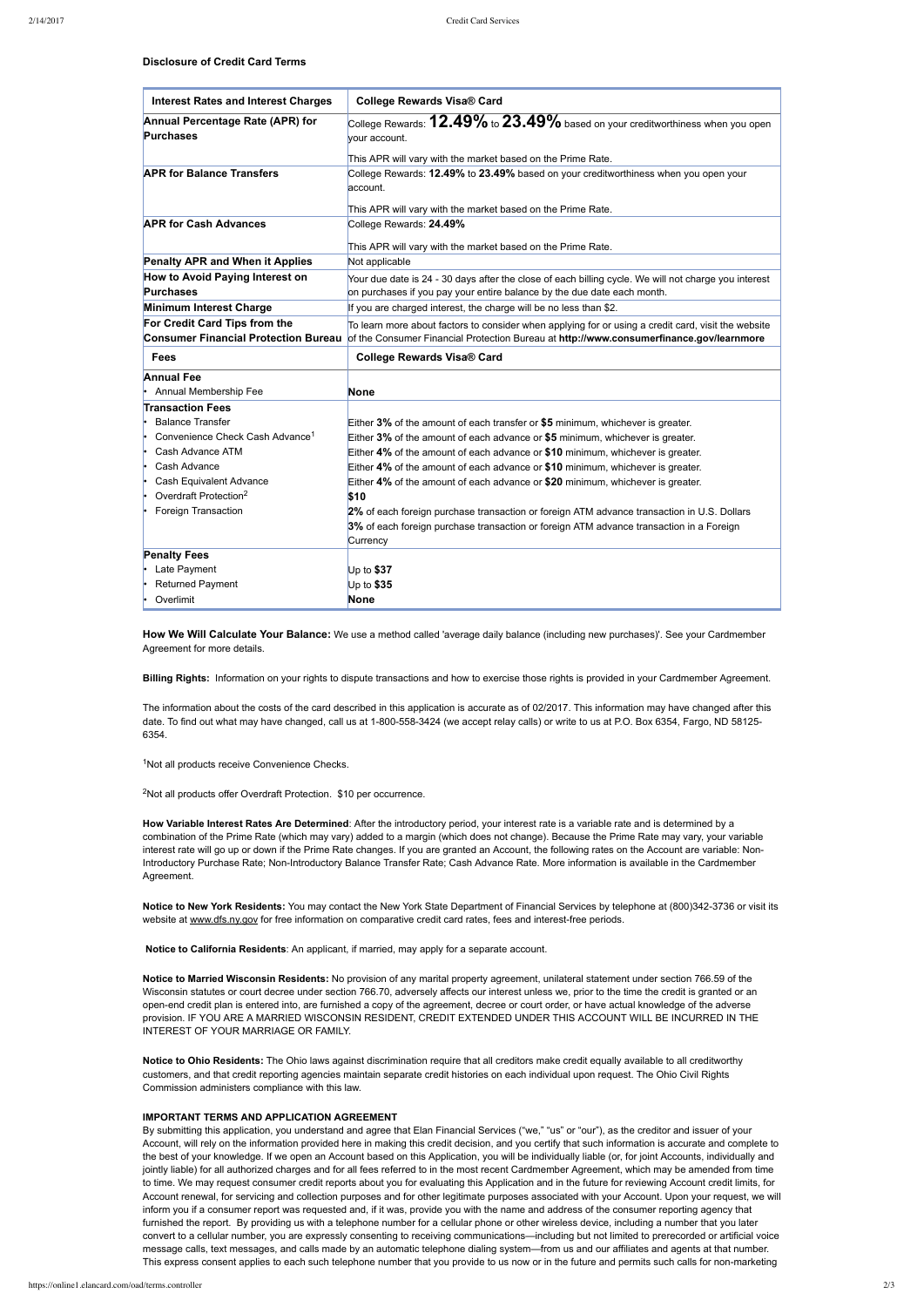**Disclosure of Credit Card Terms**

**Notice to New York Residents:** You may contact the New York State Department of Financial Services by telephone at (800)3423736 or visit its website at [www.dfs.ny.gov](http://www.dfs.ny.gov/) for free information on comparative credit card rates, fees and interest-free periods.

**How We Will Calculate Your Balance:** We use a method called 'average daily balance (including new purchases)'. See your Cardmember Agreement for more details.

**Billing Rights:** Information on your rights to dispute transactions and how to exercise those rights is provided in your Cardmember Agreement.

Notice to Ohio Residents: The Ohio laws against discrimination require that all creditors make credit equally available to all creditworthy customers, and that credit reporting agencies maintain separate credit histories on each individual upon request. The Ohio Civil Rights Commission administers compliance with this law.

By submitting this application, you understand and agree that Elan Financial Services ("we," "us" or "our"), as the creditor and issuer of your Account, will rely on the information provided here in making this credit decision, and you certify that such information is accurate and complete to the best of your knowledge. If we open an Account based on this Application, you will be individually liable (or, for joint Accounts, individually and jointly liable) for all authorized charges and for all fees referred to in the most recent Cardmember Agreement, which may be amended from time to time. We may request consumer credit reports about you for evaluating this Application and in the future for reviewing Account credit limits, for Account renewal, for servicing and collection purposes and for other legitimate purposes associated with your Account. Upon your request, we will inform you if a consumer report was requested and, if it was, provide you with the name and address of the consumer reporting agency that furnished the report. By providing us with a telephone number for a cellular phone or other wireless device, including a number that you later convert to a cellular number, you are expressly consenting to receiving communications—including but not limited to prerecorded or artificial voice message calls, text messages, and calls made by an automatic telephone dialing system—from us and our affiliates and agents at that number. This express consent applies to each such telephone number that you provide to us now or in the future and permits such calls for non-marketing

The information about the costs of the card described in this application is accurate as of 02/2017. This information may have changed after this date. To find out what may have changed, call us at 1-800-558-3424 (we accept relay calls) or write to us at P.O. Box 6354, Fargo, ND 58125-6354.

<sup>1</sup>Not all products receive Convenience Checks.

<sup>2</sup>Not all products offer Overdraft Protection. \$10 per occurrence.

**How Variable Interest Rates Are Determined**: After the introductory period, your interest rate is a variable rate and is determined by a combination of the Prime Rate (which may vary) added to a margin (which does not change). Because the Prime Rate may vary, your variable interest rate will go up or down if the Prime Rate changes. If you are granted an Account, the following rates on the Account are variable: Non-Introductory Purchase Rate; Non-Introductory Balance Transfer Rate; Cash Advance Rate. More information is available in the Cardmember Agreement.

| <b>Interest Rates and Interest Charges</b>                                   | <b>College Rewards Visa® Card</b>                                                                                                                                                              |
|------------------------------------------------------------------------------|------------------------------------------------------------------------------------------------------------------------------------------------------------------------------------------------|
| Annual Percentage Rate (APR) for<br><b>Purchases</b>                         | College Rewards: $\pmb{12.49\%}$ to $\pmb{23.49\%}$ based on your creditworthiness when you open<br>vour account.                                                                              |
|                                                                              | This APR will vary with the market based on the Prime Rate.                                                                                                                                    |
| <b>APR for Balance Transfers</b>                                             | College Rewards: 12.49% to 23.49% based on your creditworthiness when you open your<br>account.                                                                                                |
|                                                                              | This APR will vary with the market based on the Prime Rate.                                                                                                                                    |
| <b>APR for Cash Advances</b>                                                 | College Rewards: 24.49%                                                                                                                                                                        |
|                                                                              | This APR will vary with the market based on the Prime Rate.                                                                                                                                    |
| <b>Penalty APR and When it Applies</b>                                       | Not applicable                                                                                                                                                                                 |
| How to Avoid Paying Interest on<br><b>Purchases</b>                          | Your due date is 24 - 30 days after the close of each billing cycle. We will not charge you interest<br>on purchases if you pay your entire balance by the due date each month.                |
| Minimum Interest Charge                                                      | If you are charged interest, the charge will be no less than \$2.                                                                                                                              |
| For Credit Card Tips from the<br><b>Consumer Financial Protection Bureau</b> | To learn more about factors to consider when applying for or using a credit card, visit the website<br>of the Consumer Financial Protection Bureau at http://www.consumerfinance.gov/learnmore |
| <b>Fees</b>                                                                  | <b>College Rewards Visa® Card</b>                                                                                                                                                              |
|                                                                              |                                                                                                                                                                                                |
| <b>Annual Fee</b>                                                            |                                                                                                                                                                                                |
| Annual Membership Fee                                                        | <b>None</b>                                                                                                                                                                                    |
| <b>Transaction Fees</b>                                                      |                                                                                                                                                                                                |
| <b>Balance Transfer</b>                                                      | Either 3% of the amount of each transfer or \$5 minimum, whichever is greater.                                                                                                                 |
| Convenience Check Cash Advance <sup>1</sup>                                  | Either 3% of the amount of each advance or \$5 minimum, whichever is greater.                                                                                                                  |
| Cash Advance ATM                                                             | Either 4% of the amount of each advance or \$10 minimum, whichever is greater.                                                                                                                 |
| Cash Advance<br>ŀ.                                                           | Either 4% of the amount of each advance or \$10 minimum, whichever is greater.                                                                                                                 |
| Cash Equivalent Advance<br>ŀ.                                                | Either 4% of the amount of each advance or \$20 minimum, whichever is greater.                                                                                                                 |
| Overdraft Protection <sup>2</sup>                                            | \$10                                                                                                                                                                                           |
| Foreign Transaction                                                          | 2% of each foreign purchase transaction or foreign ATM advance transaction in U.S. Dollars                                                                                                     |
|                                                                              | 3% of each foreign purchase transaction or foreign ATM advance transaction in a Foreign<br>Currency                                                                                            |
| <b>Penalty Fees</b>                                                          |                                                                                                                                                                                                |
| Late Payment                                                                 | Up to $$37$                                                                                                                                                                                    |
| <b>Returned Payment</b>                                                      | Up to \$35                                                                                                                                                                                     |

**Notice to California Residents**: An applicant, if married, may apply for a separate account.

**Notice to Married Wisconsin Residents:** No provision of any marital property agreement, unilateral statement under section 766.59 of the

Wisconsin statutes or court decree under section 766.70, adversely affects our interest unless we, prior to the time the credit is granted or an openend credit plan is entered into, are furnished a copy of the agreement, decree or court order, or have actual knowledge of the adverse provision. IF YOU ARE A MARRIED WISCONSIN RESIDENT, CREDIT EXTENDED UNDER THIS ACCOUNT WILL BE INCURRED IN THE INTEREST OF YOUR MARRIAGE OR FAMILY.

## **IMPORTANT TERMS AND APPLICATION AGREEMENT**